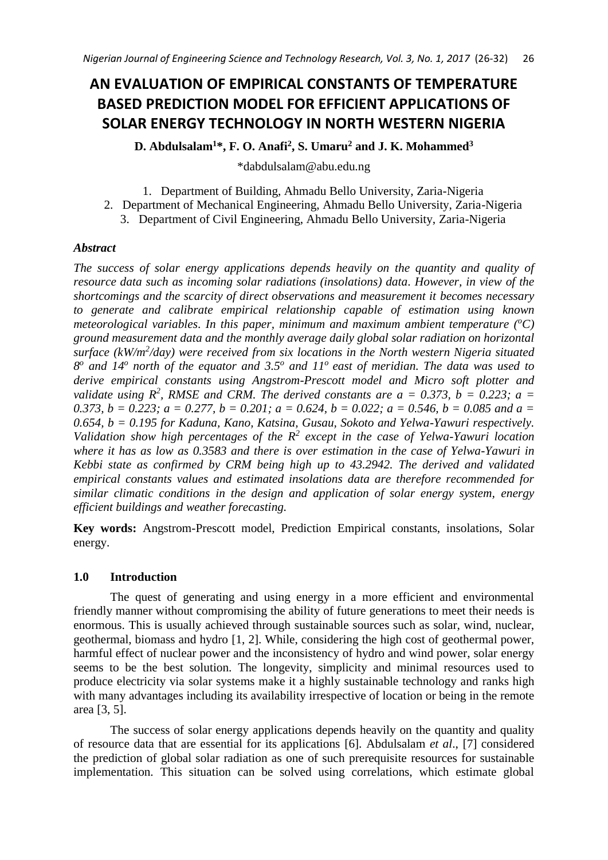# **AN EVALUATION OF EMPIRICAL CONSTANTS OF TEMPERATURE BASED PREDICTION MODEL FOR EFFICIENT APPLICATIONS OF SOLAR ENERGY TECHNOLOGY IN NORTH WESTERN NIGERIA**

**D. Abdulsalam<sup>1</sup>\*, F. O. Anafi<sup>2</sup> , S. Umaru<sup>2</sup> and J. K. Mohammed<sup>3</sup>**

\*dabdulsalam@abu.edu.ng

1. Department of Building, Ahmadu Bello University, Zaria-Nigeria

- 2. Department of Mechanical Engineering, Ahmadu Bello University, Zaria-Nigeria
	- 3. Department of Civil Engineering, Ahmadu Bello University, Zaria-Nigeria

# *Abstract*

*The success of solar energy applications depends heavily on the quantity and quality of resource data such as incoming solar radiations (insolations) data. However, in view of the shortcomings and the scarcity of direct observations and measurement it becomes necessary to generate and calibrate empirical relationship capable of estimation using known meteorological variables. In this paper, minimum and maximum ambient temperature (<sup>o</sup>C) ground measurement data and the monthly average daily global solar radiation on horizontal surface (kW/m<sup>2</sup> /day) were received from six locations in the North western Nigeria situated 8 o and 14<sup>o</sup> north of the equator and 3.5<sup>o</sup> and 11<sup>o</sup>east of meridian. The data was used to derive empirical constants using Angstrom-Prescott model and Micro soft plotter and validate using*  $R^2$ , RMSE and CRM. The derived constants are  $a = 0.373$ ,  $b = 0.223$ ;  $a =$ *0.373, b = 0.223; a = 0.277, b = 0.201; a = 0.624, b = 0.022; a = 0.546, b = 0.085 and a = 0.654, b = 0.195 for Kaduna, Kano, Katsina, Gusau, Sokoto and Yelwa-Yawuri respectively. Validation show high percentages of the R<sup>2</sup> except in the case of Yelwa-Yawuri location where it has as low as 0.3583 and there is over estimation in the case of Yelwa-Yawuri in Kebbi state as confirmed by CRM being high up to 43.2942. The derived and validated empirical constants values and estimated insolations data are therefore recommended for similar climatic conditions in the design and application of solar energy system, energy efficient buildings and weather forecasting.* 

**Key words:** Angstrom-Prescott model, Prediction Empirical constants, insolations, Solar energy.

# **1.0 Introduction**

The quest of generating and using energy in a more efficient and environmental friendly manner without compromising the ability of future generations to meet their needs is enormous. This is usually achieved through sustainable sources such as solar, wind, nuclear, geothermal, biomass and hydro [1, 2]. While, considering the high cost of geothermal power, harmful effect of nuclear power and the inconsistency of hydro and wind power, solar energy seems to be the best solution. The longevity, simplicity and minimal resources used to produce electricity via solar systems make it a highly sustainable technology and ranks high with many advantages including its availability irrespective of location or being in the remote area [3, 5].

The success of solar energy applications depends heavily on the quantity and quality of resource data that are essential for its applications [6]. Abdulsalam *et al*., [7] considered the prediction of global solar radiation as one of such prerequisite resources for sustainable implementation. This situation can be solved using correlations, which estimate global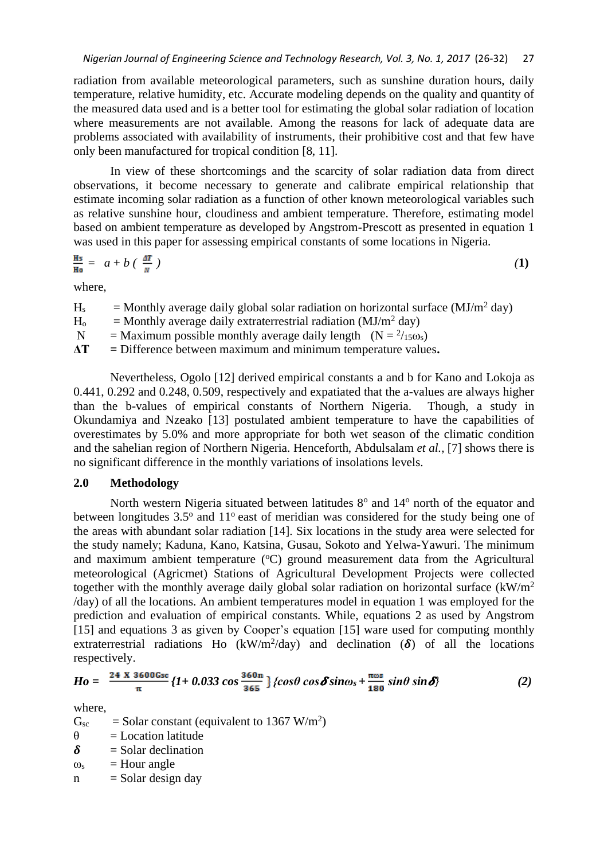radiation from available meteorological parameters, such as sunshine duration hours, daily temperature, relative humidity, etc. Accurate modeling depends on the quality and quantity of the measured data used and is a better tool for estimating the global solar radiation of location where measurements are not available. Among the reasons for lack of adequate data are problems associated with availability of instruments, their prohibitive cost and that few have only been manufactured for tropical condition [8, 11].

In view of these shortcomings and the scarcity of solar radiation data from direct observations, it become necessary to generate and calibrate empirical relationship that estimate incoming solar radiation as a function of other known meteorological variables such as relative sunshine hour, cloudiness and ambient temperature. Therefore, estimating model based on ambient temperature as developed by Angstrom-Prescott as presented in equation 1 was used in this paper for assessing empirical constants of some locations in Nigeria.

$$
\frac{Hs}{Ho} = a + b \left( \frac{\Delta T}{N} \right) \tag{1}
$$

where,

| $H_s$          | = Monthly average daily global solar radiation on horizontal surface $(MJ/m2$ day) |
|----------------|------------------------------------------------------------------------------------|
| H <sub>o</sub> | = Monthly average daily extraterrestrial radiation ( $MJ/m2$ day)                  |
| $\mathbf N$    | = Maximum possible monthly average daily length $(N = 2/150s)$                     |
| AT.            | $=$ Difference between maximum and minimum temperature values.                     |

Nevertheless, Ogolo [12] derived empirical constants a and b for Kano and Lokoja as 0.441, 0.292 and 0.248, 0.509, respectively and expatiated that the a-values are always higher than the b-values of empirical constants of Northern Nigeria. Though, a study in Okundamiya and Nzeako [13] postulated ambient temperature to have the capabilities of overestimates by 5.0% and more appropriate for both wet season of the climatic condition and the sahelian region of Northern Nigeria. Henceforth, Abdulsalam *et al.,* [7] shows there is no significant difference in the monthly variations of insolations levels.

## **2.0 Methodology**

North western Nigeria situated between latitudes  $8^\circ$  and  $14^\circ$  north of the equator and between longitudes  $3.5^{\circ}$  and  $11^{\circ}$  east of meridian was considered for the study being one of the areas with abundant solar radiation [14]. Six locations in the study area were selected for the study namely; Kaduna, Kano, Katsina, Gusau, Sokoto and Yelwa-Yawuri. The minimum and maximum ambient temperature  $(^{\circ}C)$  ground measurement data from the Agricultural meteorological (Agricmet) Stations of Agricultural Development Projects were collected together with the monthly average daily global solar radiation on horizontal surface  $(kW/m<sup>2</sup>)$ /day) of all the locations. An ambient temperatures model in equation 1 was employed for the prediction and evaluation of empirical constants. While, equations 2 as used by Angstrom [15] and equations 3 as given by Cooper's equation [15] ware used for computing monthly extraterrestrial radiations Ho (kW/m<sup>2</sup>/day) and declination ( $\delta$ ) of all the locations respectively.

$$
Ho = \frac{24 \times 3600 \text{Gsc}}{\pi} \{I + 0.033 \cos \frac{360 \text{m}}{365} \} \{cos \theta \cos \delta sin \omega_s + \frac{\pi \omega s}{180} \sin \theta \sin \delta \} \tag{2}
$$

where,

 $G_{\rm sc}$  = Solar constant (equivalent to 1367 W/m<sup>2</sup>)

- $\theta$  = Location latitude
- $\delta$  = Solar declination
- $\omega_s$  = Hour angle
- $n =$ Solar design day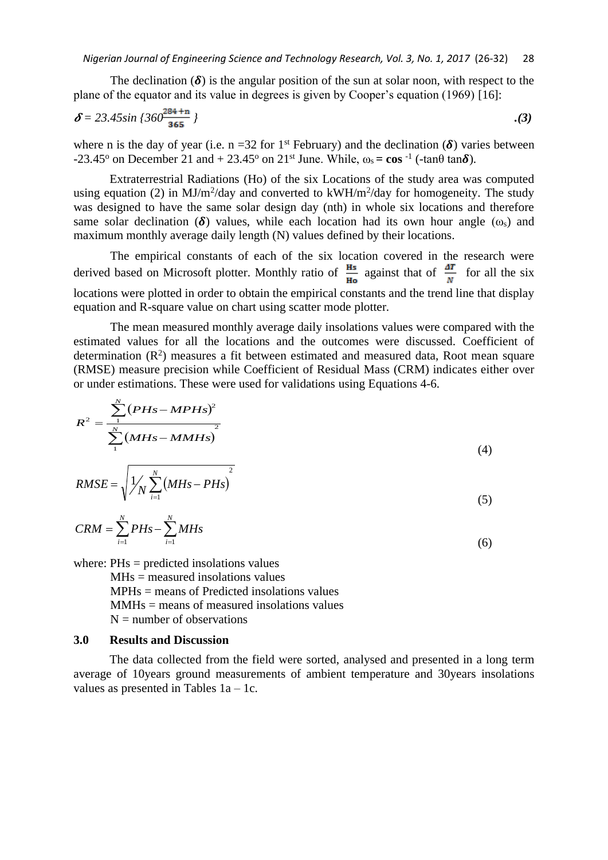The declination  $(\delta)$  is the angular position of the sun at solar noon, with respect to the plane of the equator and its value in degrees is given by Cooper's equation (1969) [16]:

$$
\delta = 23.45 \sin \left(360 \frac{284 + n}{365} \right) \tag{3}
$$

where n is the day of year (i.e.  $n = 32$  for 1<sup>st</sup> February) and the declination ( $\delta$ ) varies between  $-23.45^{\circ}$  on December 21 and  $+ 23.45^{\circ}$  on 21<sup>st</sup> June. While,  $\omega_s = \cos^{-1}$  (-tan $\theta \tan \delta$ ).

Extraterrestrial Radiations (Ho) of the six Locations of the study area was computed using equation (2) in MJ/m<sup>2</sup>/day and converted to  $kWH/m^2$ /day for homogeneity. The study was designed to have the same solar design day (nth) in whole six locations and therefore same solar declination ( $\delta$ ) values, while each location had its own hour angle ( $\omega$ <sub>s</sub>) and maximum monthly average daily length (N) values defined by their locations.

The empirical constants of each of the six location covered in the research were derived based on Microsoft plotter. Monthly ratio of  $\frac{Hs}{Ho}$  against that of  $\frac{dT}{N}$  for all the six locations were plotted in order to obtain the empirical constants and the trend line that display equation and R-square value on chart using scatter mode plotter.

The mean measured monthly average daily insolations values were compared with the estimated values for all the locations and the outcomes were discussed. Coefficient of determination  $(R^2)$  measures a fit between estimated and measured data, Root mean square (RMSE) measure precision while Coefficient of Residual Mass (CRM) indicates either over or under estimations. These were used for validations using Equations 4-6.

$$
R^{2} = \frac{\sum_{1}^{N} (PHs-MPHs)^{2}}{\sum_{1}^{N} (MHs-MMHs)^{2}}
$$
(4)

$$
RMSE = \sqrt{\frac{1}{N} \sum_{i=1}^{N} (MHs - PHs)^{2}}
$$
\n(5)

$$
CRM = \sum_{i=1}^{N} PHs - \sum_{i=1}^{N} MHz
$$
\n(6)

where: PHs = predicted insolations values

 $MHz = measured$  insolations values MPHs = means of Predicted insolations values MMHs = means of measured insolations values  $N =$  number of observations

#### **3.0 Results and Discussion**

The data collected from the field were sorted, analysed and presented in a long term average of 10years ground measurements of ambient temperature and 30years insolations values as presented in Tables 1a – 1c.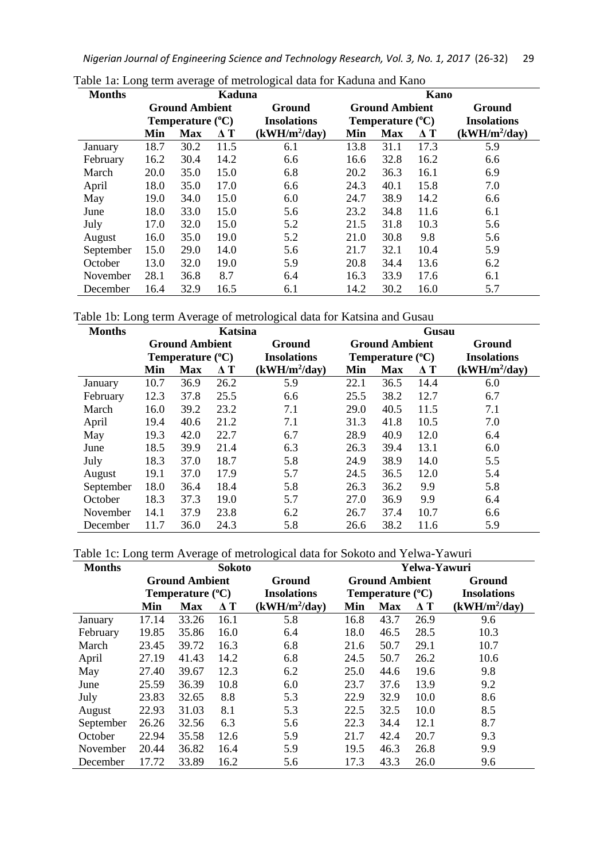*Nigerian Journal of Engineering Science and Technology Research, Vol. 3, No. 1, 2017* (26-32) 29

| <b>Months</b> | <b>Kaduna</b>         |                           |            |                       |                           | Kano       |            |                    |  |
|---------------|-----------------------|---------------------------|------------|-----------------------|---------------------------|------------|------------|--------------------|--|
|               | <b>Ground Ambient</b> |                           | Ground     | <b>Ground Ambient</b> |                           |            | Ground     |                    |  |
|               |                       | Temperature $(^{\circ}C)$ |            | <b>Insolations</b>    | Temperature $(^{\circ}C)$ |            |            | <b>Insolations</b> |  |
|               | Min                   | <b>Max</b>                | $\Delta T$ | $(kWH/m^2/day)$       | Min                       | <b>Max</b> | $\Delta T$ | $(kWH/m^2/day)$    |  |
| January       | 18.7                  | 30.2                      | 11.5       | 6.1                   | 13.8                      | 31.1       | 17.3       | 5.9                |  |
| February      | 16.2                  | 30.4                      | 14.2       | 6.6                   | 16.6                      | 32.8       | 16.2       | 6.6                |  |
| March         | 20.0                  | 35.0                      | 15.0       | 6.8                   | 20.2                      | 36.3       | 16.1       | 6.9                |  |
| April         | 18.0                  | 35.0                      | 17.0       | 6.6                   | 24.3                      | 40.1       | 15.8       | 7.0                |  |
| May           | 19.0                  | 34.0                      | 15.0       | 6.0                   | 24.7                      | 38.9       | 14.2       | 6.6                |  |
| June          | 18.0                  | 33.0                      | 15.0       | 5.6                   | 23.2                      | 34.8       | 11.6       | 6.1                |  |
| July          | 17.0                  | 32.0                      | 15.0       | 5.2                   | 21.5                      | 31.8       | 10.3       | 5.6                |  |
| August        | 16.0                  | 35.0                      | 19.0       | 5.2                   | 21.0                      | 30.8       | 9.8        | 5.6                |  |
| September     | 15.0                  | 29.0                      | 14.0       | 5.6                   | 21.7                      | 32.1       | 10.4       | 5.9                |  |
| October       | 13.0                  | 32.0                      | 19.0       | 5.9                   | 20.8                      | 34.4       | 13.6       | 6.2                |  |
| November      | 28.1                  | 36.8                      | 8.7        | 6.4                   | 16.3                      | 33.9       | 17.6       | 6.1                |  |
| December      | 16.4                  | 32.9                      | 16.5       | 6.1                   | 14.2                      | 30.2       | 16.0       | 5.7                |  |

Table 1a: Long term average of metrological data for Kaduna and Kano

Table 1b: Long term Average of metrological data for Katsina and Gusau

| <b>Months</b> | Katsina               |                           |            |                       |                           | Gusau      |               |                    |  |
|---------------|-----------------------|---------------------------|------------|-----------------------|---------------------------|------------|---------------|--------------------|--|
|               | <b>Ground Ambient</b> |                           | Ground     | <b>Ground Ambient</b> |                           |            | <b>Ground</b> |                    |  |
|               |                       | Temperature $(^{\circ}C)$ |            | <b>Insolations</b>    | Temperature $(^{\circ}C)$ |            |               | <b>Insolations</b> |  |
|               | Min                   | <b>Max</b>                | $\Delta T$ | $(kWH/m^2/day)$       | Min                       | <b>Max</b> | $\Delta T$    | $(kWH/m^2/day)$    |  |
| January       | 10.7                  | 36.9                      | 26.2       | 5.9                   | 22.1                      | 36.5       | 14.4          | 6.0                |  |
| February      | 12.3                  | 37.8                      | 25.5       | 6.6                   | 25.5                      | 38.2       | 12.7          | 6.7                |  |
| March         | 16.0                  | 39.2                      | 23.2       | 7.1                   | 29.0                      | 40.5       | 11.5          | 7.1                |  |
| April         | 19.4                  | 40.6                      | 21.2       | 7.1                   | 31.3                      | 41.8       | 10.5          | 7.0                |  |
| May           | 19.3                  | 42.0                      | 22.7       | 6.7                   | 28.9                      | 40.9       | 12.0          | 6.4                |  |
| June          | 18.5                  | 39.9                      | 21.4       | 6.3                   | 26.3                      | 39.4       | 13.1          | 6.0                |  |
| July          | 18.3                  | 37.0                      | 18.7       | 5.8                   | 24.9                      | 38.9       | 14.0          | 5.5                |  |
| August        | 19.1                  | 37.0                      | 17.9       | 5.7                   | 24.5                      | 36.5       | 12.0          | 5.4                |  |
| September     | 18.0                  | 36.4                      | 18.4       | 5.8                   | 26.3                      | 36.2       | 9.9           | 5.8                |  |
| October       | 18.3                  | 37.3                      | 19.0       | 5.7                   | 27.0                      | 36.9       | 9.9           | 6.4                |  |
| November      | 14.1                  | 37.9                      | 23.8       | 6.2                   | 26.7                      | 37.4       | 10.7          | 6.6                |  |
| December      | 11.7                  | 36.0                      | 24.3       | 5.8                   | 26.6                      | 38.2       | 11.6          | 5.9                |  |

Table 1c: Long term Average of metrological data for Sokoto and Yelwa-Yawuri

| <b>Months</b> | <b>Sokoto</b>         |                  |            |                       | Yelwa-Yawuri              |            |            |                    |
|---------------|-----------------------|------------------|------------|-----------------------|---------------------------|------------|------------|--------------------|
|               | <b>Ground Ambient</b> |                  | Ground     | <b>Ground Ambient</b> |                           |            | Ground     |                    |
|               |                       | Temperature (°C) |            | <b>Insolations</b>    | Temperature $(^{\circ}C)$ |            |            | <b>Insolations</b> |
|               | Min                   | <b>Max</b>       | $\Delta T$ | $(kWH/m^2/day)$       | Min                       | <b>Max</b> | $\Delta T$ | $(kWH/m^2/day)$    |
| January       | 17.14                 | 33.26            | 16.1       | 5.8                   | 16.8                      | 43.7       | 26.9       | 9.6                |
| February      | 19.85                 | 35.86            | 16.0       | 6.4                   | 18.0                      | 46.5       | 28.5       | 10.3               |
| March         | 23.45                 | 39.72            | 16.3       | 6.8                   | 21.6                      | 50.7       | 29.1       | 10.7               |
| April         | 27.19                 | 41.43            | 14.2       | 6.8                   | 24.5                      | 50.7       | 26.2       | 10.6               |
| May           | 27.40                 | 39.67            | 12.3       | 6.2                   | 25.0                      | 44.6       | 19.6       | 9.8                |
| June          | 25.59                 | 36.39            | 10.8       | 6.0                   | 23.7                      | 37.6       | 13.9       | 9.2                |
| July          | 23.83                 | 32.65            | 8.8        | 5.3                   | 22.9                      | 32.9       | 10.0       | 8.6                |
| August        | 22.93                 | 31.03            | 8.1        | 5.3                   | 22.5                      | 32.5       | 10.0       | 8.5                |
| September     | 26.26                 | 32.56            | 6.3        | 5.6                   | 22.3                      | 34.4       | 12.1       | 8.7                |
| October       | 22.94                 | 35.58            | 12.6       | 5.9                   | 21.7                      | 42.4       | 20.7       | 9.3                |
| November      | 20.44                 | 36.82            | 16.4       | 5.9                   | 19.5                      | 46.3       | 26.8       | 9.9                |
| December      | 17.72                 | 33.89            | 16.2       | 5.6                   | 17.3                      | 43.3       | 26.0       | 9.6                |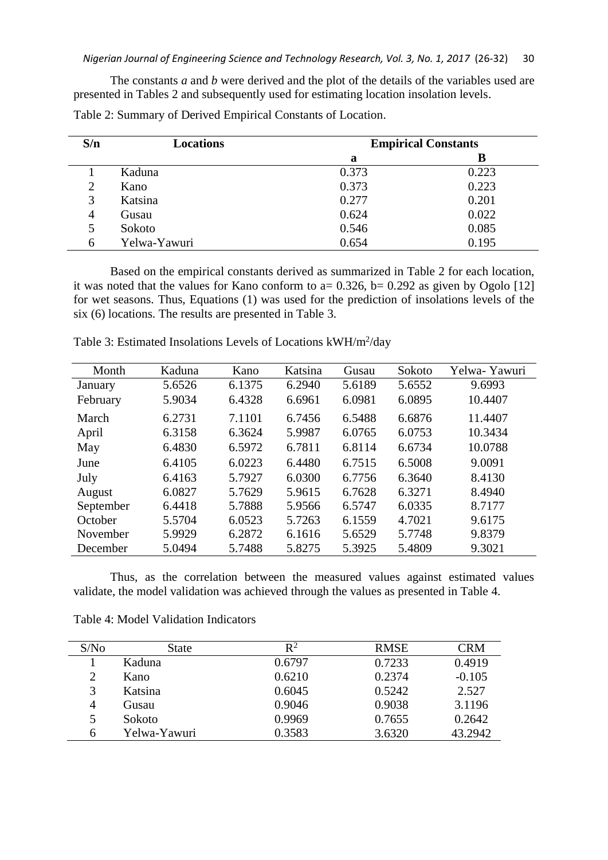The constants *a* and *b* were derived and the plot of the details of the variables used are presented in Tables 2 and subsequently used for estimating location insolation levels.

| S/n            | <b>Locations</b> |       | <b>Empirical Constants</b> |
|----------------|------------------|-------|----------------------------|
|                |                  | a     | В                          |
|                | Kaduna           | 0.373 | 0.223                      |
| 2              | Kano             | 0.373 | 0.223                      |
| 3              | Katsina          | 0.277 | 0.201                      |
| $\overline{4}$ | Gusau            | 0.624 | 0.022                      |
|                | Sokoto           | 0.546 | 0.085                      |
| 6              | Yelwa-Yawuri     | 0.654 | 0.195                      |

Table 2: Summary of Derived Empirical Constants of Location.

Based on the empirical constants derived as summarized in Table 2 for each location, it was noted that the values for Kano conform to a=  $0.326$ , b=  $0.292$  as given by Ogolo [12] for wet seasons. Thus, Equations (1) was used for the prediction of insolations levels of the six (6) locations. The results are presented in Table 3.

| Month     | Kaduna | Kano   | Katsina | Gusau  | Sokoto | Yelwa-Yawuri |
|-----------|--------|--------|---------|--------|--------|--------------|
| January   | 5.6526 | 6.1375 | 6.2940  | 5.6189 | 5.6552 | 9.6993       |
| February  | 5.9034 | 6.4328 | 6.6961  | 6.0981 | 6.0895 | 10.4407      |
| March     | 6.2731 | 7.1101 | 6.7456  | 6.5488 | 6.6876 | 11.4407      |
| April     | 6.3158 | 6.3624 | 5.9987  | 6.0765 | 6.0753 | 10.3434      |
| May       | 6.4830 | 6.5972 | 6.7811  | 6.8114 | 6.6734 | 10.0788      |
| June      | 6.4105 | 6.0223 | 6.4480  | 6.7515 | 6.5008 | 9.0091       |
| July      | 6.4163 | 5.7927 | 6.0300  | 6.7756 | 6.3640 | 8.4130       |
| August    | 6.0827 | 5.7629 | 5.9615  | 6.7628 | 6.3271 | 8.4940       |
| September | 6.4418 | 5.7888 | 5.9566  | 6.5747 | 6.0335 | 8.7177       |
| October   | 5.5704 | 6.0523 | 5.7263  | 6.1559 | 4.7021 | 9.6175       |
| November  | 5.9929 | 6.2872 | 6.1616  | 5.6529 | 5.7748 | 9.8379       |
| December  | 5.0494 | 5.7488 | 5.8275  | 5.3925 | 5.4809 | 9.3021       |

Table 3: Estimated Insolations Levels of Locations kWH/m<sup>2</sup>/day

Thus, as the correlation between the measured values against estimated values validate, the model validation was achieved through the values as presented in Table 4.

| S/No           | State        | $R^2$  | <b>RMSE</b> | CRM      |
|----------------|--------------|--------|-------------|----------|
|                | Kaduna       | 0.6797 | 0.7233      | 0.4919   |
| $\overline{2}$ | Kano         | 0.6210 | 0.2374      | $-0.105$ |
| 3              | Katsina      | 0.6045 | 0.5242      | 2.527    |
| $\overline{4}$ | Gusau        | 0.9046 | 0.9038      | 3.1196   |
| 5              | Sokoto       | 0.9969 | 0.7655      | 0.2642   |
| 6              | Yelwa-Yawuri | 0.3583 | 3.6320      | 43.2942  |

Table 4: Model Validation Indicators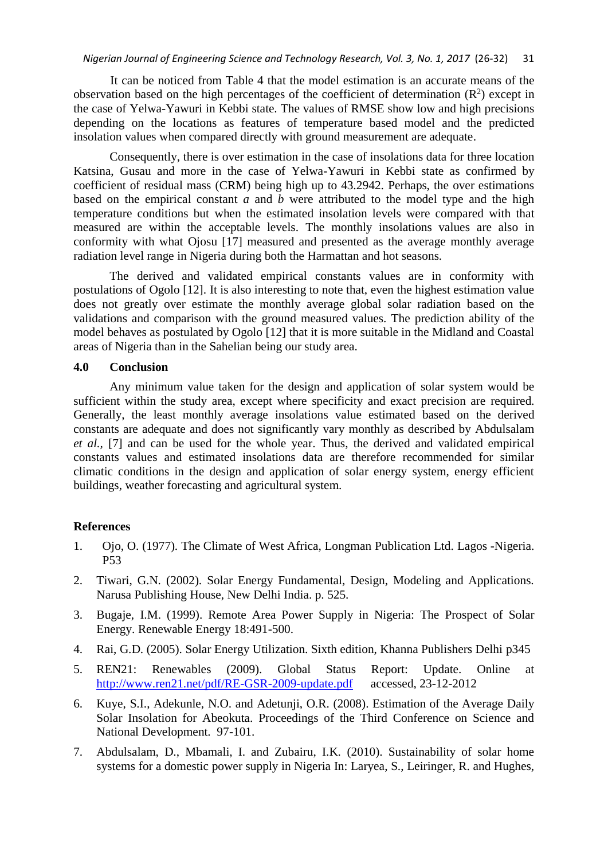It can be noticed from Table 4 that the model estimation is an accurate means of the observation based on the high percentages of the coefficient of determination  $(R^2)$  except in the case of Yelwa-Yawuri in Kebbi state. The values of RMSE show low and high precisions depending on the locations as features of temperature based model and the predicted insolation values when compared directly with ground measurement are adequate.

Consequently, there is over estimation in the case of insolations data for three location Katsina, Gusau and more in the case of Yelwa-Yawuri in Kebbi state as confirmed by coefficient of residual mass (CRM) being high up to 43.2942. Perhaps, the over estimations based on the empirical constant *a* and *b* were attributed to the model type and the high temperature conditions but when the estimated insolation levels were compared with that measured are within the acceptable levels. The monthly insolations values are also in conformity with what Ojosu [17] measured and presented as the average monthly average radiation level range in Nigeria during both the Harmattan and hot seasons.

The derived and validated empirical constants values are in conformity with postulations of Ogolo [12]. It is also interesting to note that, even the highest estimation value does not greatly over estimate the monthly average global solar radiation based on the validations and comparison with the ground measured values. The prediction ability of the model behaves as postulated by Ogolo [12] that it is more suitable in the Midland and Coastal areas of Nigeria than in the Sahelian being our study area.

### **4.0 Conclusion**

Any minimum value taken for the design and application of solar system would be sufficient within the study area, except where specificity and exact precision are required. Generally, the least monthly average insolations value estimated based on the derived constants are adequate and does not significantly vary monthly as described by Abdulsalam *et al.,* [7] and can be used for the whole year. Thus, the derived and validated empirical constants values and estimated insolations data are therefore recommended for similar climatic conditions in the design and application of solar energy system, energy efficient buildings, weather forecasting and agricultural system.

#### **References**

- 1. Ojo, O. (1977). The Climate of West Africa, Longman Publication Ltd. Lagos -Nigeria. P53
- 2. Tiwari, G.N. (2002). Solar Energy Fundamental, Design, Modeling and Applications. Narusa Publishing House, New Delhi India. p. 525.
- 3. Bugaje, I.M. (1999). Remote Area Power Supply in Nigeria: The Prospect of Solar Energy. Renewable Energy 18:491-500.
- 4. Rai, G.D. (2005). Solar Energy Utilization. Sixth edition, Khanna Publishers Delhi p345
- 5. REN21: Renewables (2009). Global Status Report: Update. Online at <http://www.ren21.net/pdf/RE-GSR-2009-update.pdf> accessed, 23-12-2012
- 6. Kuye, S.I., Adekunle, N.O. and Adetunji, O.R. (2008). Estimation of the Average Daily Solar Insolation for Abeokuta. Proceedings of the Third Conference on Science and National Development. 97-101.
- 7. Abdulsalam, D., Mbamali, I. and Zubairu, I.K*.* (2010). Sustainability of solar home systems for a domestic power supply in Nigeria In: Laryea, S., Leiringer, R. and Hughes,